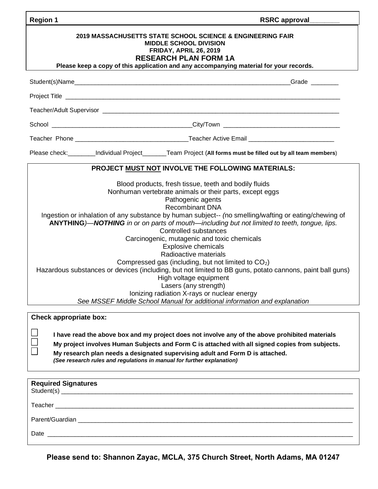| <b>Region 1</b>                                                                                                                                                                                                                                                                                                                                                                                                                                                                                                                                                                                                                                                                                                                                                                                                                                            | <b>RSRC approval</b>                                                                                              |  |  |  |
|------------------------------------------------------------------------------------------------------------------------------------------------------------------------------------------------------------------------------------------------------------------------------------------------------------------------------------------------------------------------------------------------------------------------------------------------------------------------------------------------------------------------------------------------------------------------------------------------------------------------------------------------------------------------------------------------------------------------------------------------------------------------------------------------------------------------------------------------------------|-------------------------------------------------------------------------------------------------------------------|--|--|--|
| <b>2019 MASSACHUSETTS STATE SCHOOL SCIENCE &amp; ENGINEERING FAIR</b><br><b>MIDDLE SCHOOL DIVISION</b><br>FRIDAY, APRIL 26, 2019<br><b>RESEARCH PLAN FORM 1A</b><br>Please keep a copy of this application and any accompanying material for your records.                                                                                                                                                                                                                                                                                                                                                                                                                                                                                                                                                                                                 |                                                                                                                   |  |  |  |
|                                                                                                                                                                                                                                                                                                                                                                                                                                                                                                                                                                                                                                                                                                                                                                                                                                                            |                                                                                                                   |  |  |  |
|                                                                                                                                                                                                                                                                                                                                                                                                                                                                                                                                                                                                                                                                                                                                                                                                                                                            |                                                                                                                   |  |  |  |
|                                                                                                                                                                                                                                                                                                                                                                                                                                                                                                                                                                                                                                                                                                                                                                                                                                                            |                                                                                                                   |  |  |  |
|                                                                                                                                                                                                                                                                                                                                                                                                                                                                                                                                                                                                                                                                                                                                                                                                                                                            |                                                                                                                   |  |  |  |
|                                                                                                                                                                                                                                                                                                                                                                                                                                                                                                                                                                                                                                                                                                                                                                                                                                                            |                                                                                                                   |  |  |  |
|                                                                                                                                                                                                                                                                                                                                                                                                                                                                                                                                                                                                                                                                                                                                                                                                                                                            | Please check: __________Individual Project _______Team Project (All forms must be filled out by all team members) |  |  |  |
| PROJECT MUST NOT INVOLVE THE FOLLOWING MATERIALS:                                                                                                                                                                                                                                                                                                                                                                                                                                                                                                                                                                                                                                                                                                                                                                                                          |                                                                                                                   |  |  |  |
| Blood products, fresh tissue, teeth and bodily fluids<br>Nonhuman vertebrate animals or their parts, except eggs<br>Pathogenic agents<br><b>Recombinant DNA</b><br>Ingestion or inhalation of any substance by human subject-- (no smelling/wafting or eating/chewing of<br>ANYTHING)-NOTHING in or on parts of mouth-including but not limited to teeth, tongue, lips.<br>Controlled substances<br>Carcinogenic, mutagenic and toxic chemicals<br><b>Explosive chemicals</b><br>Radioactive materials<br>Compressed gas (including, but not limited to $CO2$ )<br>Hazardous substances or devices (including, but not limited to BB guns, potato cannons, paint ball guns)<br>High voltage equipment<br>Lasers (any strength)<br>Ionizing radiation X-rays or nuclear energy<br>See MSSEF Middle School Manual for additional information and explanation |                                                                                                                   |  |  |  |
| <b>Check appropriate box:</b>                                                                                                                                                                                                                                                                                                                                                                                                                                                                                                                                                                                                                                                                                                                                                                                                                              |                                                                                                                   |  |  |  |
| I have read the above box and my project does not involve any of the above prohibited materials<br>My project involves Human Subjects and Form C is attached with all signed copies from subjects.                                                                                                                                                                                                                                                                                                                                                                                                                                                                                                                                                                                                                                                         |                                                                                                                   |  |  |  |

**My research plan needs a designated supervising adult and Form D is attached.**  *(See research rules and regulations in manual for further explanation)*

 $\Box$ 

| Date |
|------|

**Please send to: Shannon Zayac, MCLA, 375 Church Street, North Adams, MA 01247**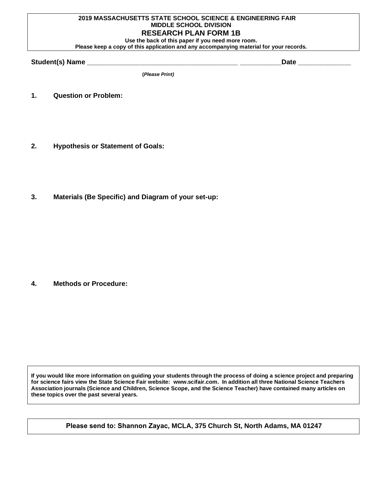## **2019 MASSACHUSETTS STATE SCHOOL SCIENCE & ENGINEERING FAIR MIDDLE SCHOOL DIVISION RESEARCH PLAN FORM 1B Use the back of this paper if you need more room.**

**Please keep a copy of this application and any accompanying material for your records.** 

**Student(s) Name \_\_\_\_\_\_\_\_\_\_\_\_\_\_\_\_\_\_\_\_\_\_\_\_\_\_\_\_\_\_\_\_\_\_\_\_\_\_\_\_ \_\_\_\_\_\_\_\_\_\_\_Date \_\_\_\_\_\_\_\_\_\_\_\_\_\_**

**(***Please Print)*

- **1. Question or Problem:**
- **2. Hypothesis or Statement of Goals:**
- **3. Materials (Be Specific) and Diagram of your set-up:**

**4. Methods or Procedure:**

**If you would like more information on guiding your students through the process of doing a science project and preparing for science fairs view the State Science Fair website: [www.scifair.com.](http://www.scifair.com/) In addition all three National Science Teachers Association journals (Science and Children, Science Scope, and the Science Teacher) have contained many articles on these topics over the past several years.**

**Please send to: Shannon Zayac, MCLA, 375 Church St, North Adams, MA 01247**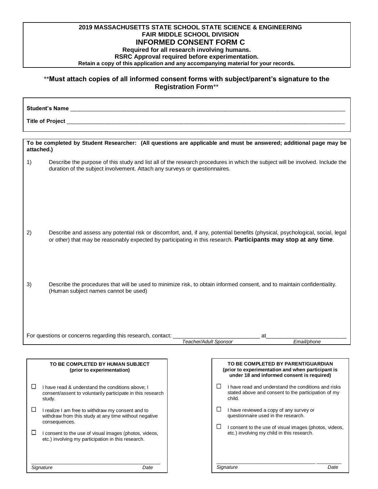## **2019 MASSACHUSETTS STATE SCHOOL STATE SCIENCE & ENGINEERING FAIR MIDDLE SCHOOL DIVISION INFORMED CONSENT FORM C**

## **Required for all research involving humans.**

**RSRC Approval required before experimentation.**

**Retain a copy of this application and any accompanying material for your records.**

## \*\***Must attach copies of all informed consent forms with subject/parent's signature to the Registration Form**\*\*

Student's Name **Title of Project** \_\_\_\_\_\_\_\_\_\_\_\_\_\_\_\_\_\_\_\_\_\_\_\_\_\_\_\_\_\_\_\_\_\_\_\_\_\_\_\_\_\_\_\_\_\_\_\_\_\_\_\_\_\_\_\_\_\_\_\_\_\_\_\_\_\_\_\_\_\_\_\_\_\_\_\_\_\_\_\_\_\_\_\_\_\_\_\_\_\_

| To be completed by Student Researcher: (All questions are applicable and must be answered; additional page may be<br>attached.)                                        |                                                                                                                                                                                                                                                  |                                                                                                                                                              |  |  |  |
|------------------------------------------------------------------------------------------------------------------------------------------------------------------------|--------------------------------------------------------------------------------------------------------------------------------------------------------------------------------------------------------------------------------------------------|--------------------------------------------------------------------------------------------------------------------------------------------------------------|--|--|--|
| 1)                                                                                                                                                                     | duration of the subject involvement. Attach any surveys or questionnaires.                                                                                                                                                                       | Describe the purpose of this study and list all of the research procedures in which the subject will be involved. Include the                                |  |  |  |
| 2)                                                                                                                                                                     | Describe and assess any potential risk or discomfort, and, if any, potential benefits (physical, psychological, social, legal<br>or other) that may be reasonably expected by participating in this research. Participants may stop at any time. |                                                                                                                                                              |  |  |  |
| 3)<br>Describe the procedures that will be used to minimize risk, to obtain informed consent, and to maintain confidentiality.<br>(Human subject names cannot be used) |                                                                                                                                                                                                                                                  |                                                                                                                                                              |  |  |  |
| For questions or concerns regarding this research, contact:<br>at                                                                                                      |                                                                                                                                                                                                                                                  |                                                                                                                                                              |  |  |  |
| Email/phone<br>Teacher/Adult Sponsor                                                                                                                                   |                                                                                                                                                                                                                                                  |                                                                                                                                                              |  |  |  |
|                                                                                                                                                                        |                                                                                                                                                                                                                                                  |                                                                                                                                                              |  |  |  |
|                                                                                                                                                                        | TO BE COMPLETED BY HUMAN SUBJECT<br>(prior to experimentation)                                                                                                                                                                                   | TO BE COMPLETED BY PARENT/GUARDIAN<br>(prior to experimentation and when participant is<br>under 18 and informed consent is required)                        |  |  |  |
| ப                                                                                                                                                                      | I have read & understand the conditions above; I<br>consent/assent to voluntarily participate in this research<br>study.                                                                                                                         | $\sqcup$<br>I have read and understand the conditions and risks<br>stated above and consent to the participation of my<br>child.                             |  |  |  |
| $\Box$                                                                                                                                                                 | I realize I am free to withdraw my consent and to<br>withdraw from this study at any time without negative<br>consequences.                                                                                                                      | $\Box$<br>I have reviewed a copy of any survey or<br>questionnaire used in the research.<br>$\Box$<br>I consent to the use of visual images (photos, videos, |  |  |  |
| $\mathbf{1}$                                                                                                                                                           | I consent to the use of visual images (photos, videos,                                                                                                                                                                                           | etc.) involving my child in this research.                                                                                                                   |  |  |  |

etc.) involving my participation in this research.

\_\_\_\_\_\_\_\_\_\_\_\_\_\_\_\_\_\_\_\_\_\_\_\_\_\_\_\_\_\_\_\_\_\_\_\_\_\_\_\_\_\_\_\_\_\_\_ *Signature Date*

\_\_\_\_\_\_\_\_\_\_\_\_\_\_\_\_\_\_\_\_\_\_\_\_\_\_\_\_\_\_\_\_\_\_\_\_ \_\_\_\_\_\_\_\_\_